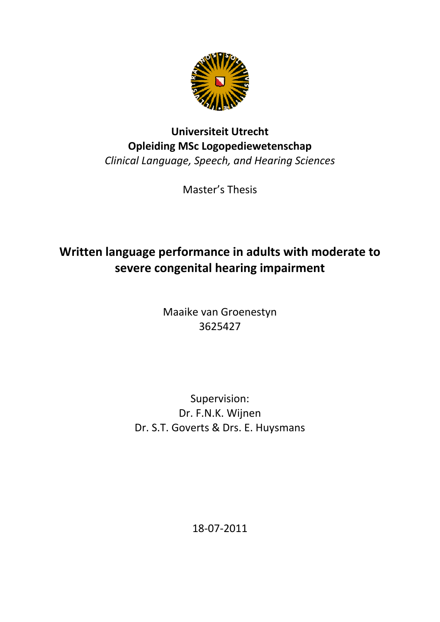

# **Universiteit Utrecht Opleiding MSc Logopediewetenschap** *Clinical Language, Speech, and Hearing Sciences*

Master's Thesis

# **Written language performance in adults with moderate to severe congenital hearing impairment**

Maaike van Groenestyn 3625427

# Supervision: Dr. F.N.K. Wijnen Dr. S.T. Goverts & Drs. E. Huysmans

18‐07‐2011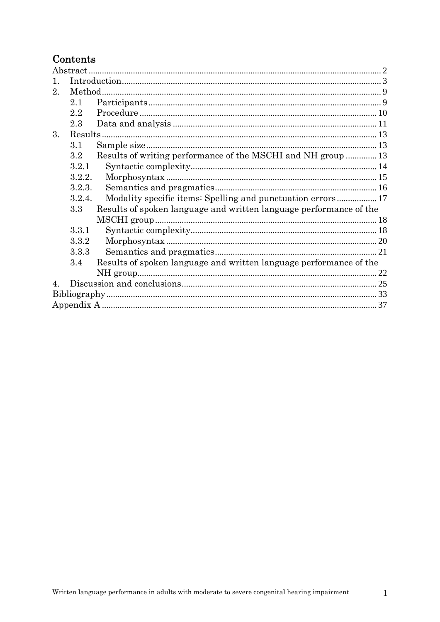# $Contents$

| $\mathfrak{D}^-$ |                  |                                                                    |  |  |  |
|------------------|------------------|--------------------------------------------------------------------|--|--|--|
|                  | 2.1              |                                                                    |  |  |  |
|                  | 2.2              |                                                                    |  |  |  |
|                  | 2.3              |                                                                    |  |  |  |
| 3.               |                  |                                                                    |  |  |  |
|                  | 3.1              |                                                                    |  |  |  |
|                  | $3.2\phantom{0}$ | Results of writing performance of the MSCHI and NH group  13       |  |  |  |
|                  | 3.2.1            |                                                                    |  |  |  |
|                  | 3.2.2.           |                                                                    |  |  |  |
|                  | 3.2.3.           |                                                                    |  |  |  |
|                  | 3.2.4.           | Modality specific items: Spelling and punctuation errors 17        |  |  |  |
|                  | 3.3              | Results of spoken language and written language performance of the |  |  |  |
|                  |                  |                                                                    |  |  |  |
|                  | 3.3.1            |                                                                    |  |  |  |
|                  | 3.3.2            |                                                                    |  |  |  |
|                  | 3.3.3            |                                                                    |  |  |  |
|                  | 3.4              | Results of spoken language and written language performance of the |  |  |  |
|                  |                  |                                                                    |  |  |  |
| $\overline{4}$   |                  |                                                                    |  |  |  |
|                  |                  |                                                                    |  |  |  |
|                  |                  |                                                                    |  |  |  |
|                  |                  |                                                                    |  |  |  |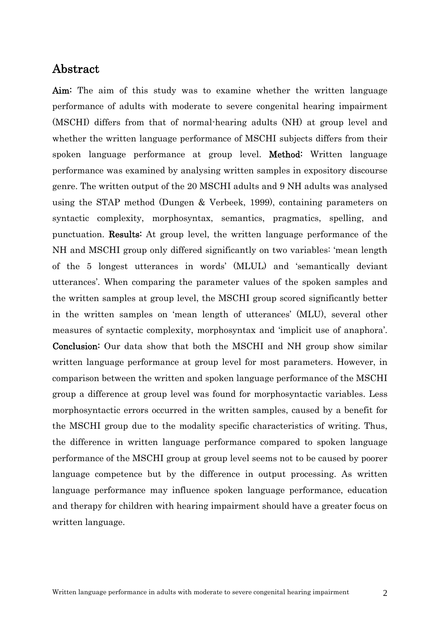# <span id="page-2-0"></span>Abstract

Aim: The aim of this study was to examine whether the written language performance of adults with moderate to severe congenital hearing impairment (MSCHI) differs from that of normal-hearing adults (NH) at group level and whether the written language performance of MSCHI subjects differs from their spoken language performance at group level. Method: Written language performance was examined by analysing written samples in expository discourse genre. The written output of the 20 MSCHI adults and 9 NH adults was analysed using the STAP method (Dungen & Verbeek, 1999), containing parameters on syntactic complexity, morphosyntax, semantics, pragmatics, spelling, and punctuation. Results: At group level, the written language performance of the NH and MSCHI group only differed significantly on two variables: 'mean length of the 5 longest utterances in words' (MLUL) and 'semantically deviant utterances'. When comparing the parameter values of the spoken samples and the written samples at group level, the MSCHI group scored significantly better in the written samples on 'mean length of utterances' (MLU), several other measures of syntactic complexity, morphosyntax and 'implicit use of anaphora'. Conclusion: Our data show that both the MSCHI and NH group show similar written language performance at group level for most parameters. However, in comparison between the written and spoken language performance of the MSCHI group a difference at group level was found for morphosyntactic variables. Less morphosyntactic errors occurred in the written samples, caused by a benefit for the MSCHI group due to the modality specific characteristics of writing. Thus, the difference in written language performance compared to spoken language performance of the MSCHI group at group level seems not to be caused by poorer language competence but by the difference in output processing. As written language performance may influence spoken language performance, education and therapy for children with hearing impairment should have a greater focus on written language.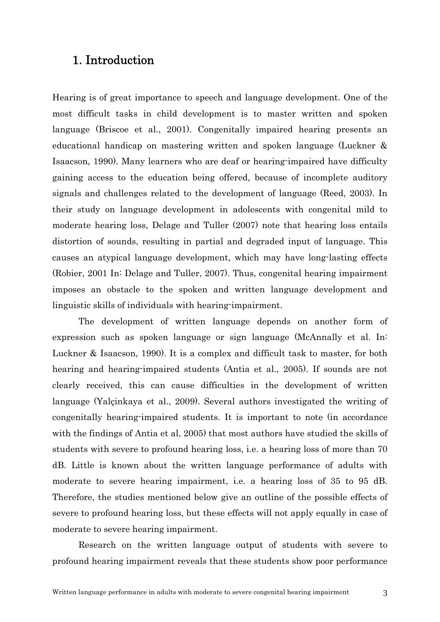### 1. Introduction

<span id="page-3-0"></span>Hearing is of great importance to speech and language development. One of the most difficult tasks in child development is to master written and spoken language (Briscoe et al., 2001). Congenitally impaired hearing presents an educational handicap on mastering written and spoken language (Luckner & Isaacson, 1990). Many learners who are deaf or hearing-impaired have difficulty gaining access to the education being offered, because of incomplete auditory signals and challenges related to the development of language (Reed, 2003). In their study on language development in adolescents with congenital mild to moderate hearing loss, Delage and Tuller (2007) note that hearing loss entails distortion of sounds, resulting in partial and degraded input of language. This causes an atypical language development, which may have long-lasting effects (Robier, 2001 In: Delage and Tuller, 2007). Thus, congenital hearing impairment imposes an obstacle to the spoken and written language development and linguistic skills of individuals with hearing-impairment.

The development of written language depends on another form of expression such as spoken language or sign language (McAnnally et al. In: Luckner & Isaacson, 1990). It is a complex and difficult task to master, for both hearing and hearing-impaired students (Antia et al., 2005). If sounds are not clearly received, this can cause difficulties in the development of written language (Yalçinkaya et al., 2009). Several authors investigated the writing of congenitally hearing-impaired students. It is important to note (in accordance with the findings of Antia et al, 2005) that most authors have studied the skills of students with severe to profound hearing loss, i.e. a hearing loss of more than 70 dB. Little is known about the written language performance of adults with moderate to severe hearing impairment, i.e. a hearing loss of 35 to 95 dB. Therefore, the studies mentioned below give an outline of the possible effects of severe to profound hearing loss, but these effects will not apply equally in case of moderate to severe hearing impairment.

Research on the written language output of students with severe to profound hearing impairment reveals that these students show poor performance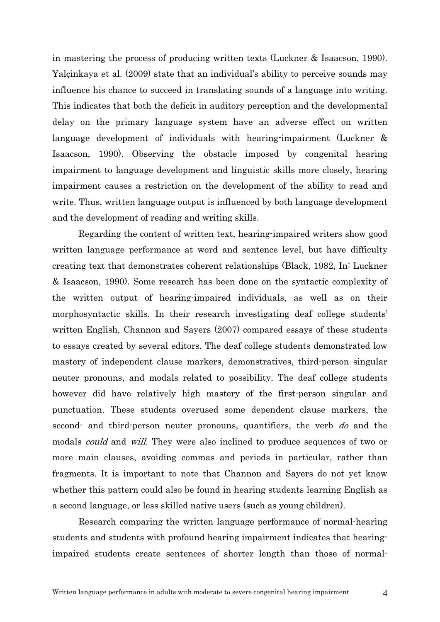in mastering the process of producing written texts (Luckner & Isaacson, 1990). Yalçinkaya et al. (2009) state that an individual's ability to perceive sounds may influence his chance to succeed in translating sounds of a language into writing. This indicates that both the deficit in auditory perception and the developmental delay on the primary language system have an adverse effect on written language development of individuals with hearing-impairment (Luckner & Isaacson, 1990). Observing the obstacle imposed by congenital hearing impairment to language development and linguistic skills more closely, hearing impairment causes a restriction on the development of the ability to read and write. Thus, written language output is influenced by both language development and the development of reading and writing skills.

Regarding the content of written text, hearing-impaired writers show good written language performance at word and sentence level, but have difficulty creating text that demonstrates coherent relationships (Black, 1982, In: Luckner & Isaacson, 1990). Some research has been done on the syntactic complexity of the written output of hearing-impaired individuals, as well as on their morphosyntactic skills. In their research investigating deaf college students' written English, Channon and Sayers (2007) compared essays of these students to essays created by several editors. The deaf college students demonstrated low mastery of independent clause markers, demonstratives, third-person singular neuter pronouns, and modals related to possibility. The deaf college students however did have relatively high mastery of the first-person singular and punctuation. These students overused some dependent clause markers, the second- and third-person neuter pronouns, quantifiers, the verb do and the modals *could* and *will*. They were also inclined to produce sequences of two or more main clauses, avoiding commas and periods in particular, rather than fragments. It is important to note that Channon and Sayers do not yet know whether this pattern could also be found in hearing students learning English as a second language, or less skilled native users (such as young children).

Research comparing the written language performance of normal-hearing students and students with profound hearing impairment indicates that hearingimpaired students create sentences of shorter length than those of normal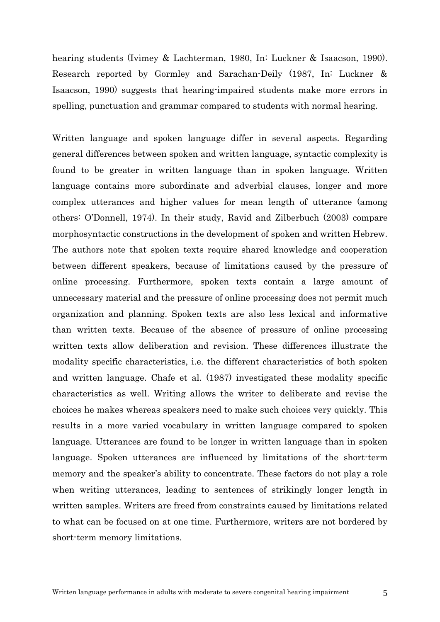hearing students (Ivimey & Lachterman, 1980, In: Luckner & Isaacson, 1990). Research reported by Gormley and Sarachan-Deily (1987, In: Luckner & Isaacson, 1990) suggests that hearing-impaired students make more errors in spelling, punctuation and grammar compared to students with normal hearing.

Written language and spoken language differ in several aspects. Regarding general differences between spoken and written language, syntactic complexity is found to be greater in written language than in spoken language. Written language contains more subordinate and adverbial clauses, longer and more complex utterances and higher values for mean length of utterance (among others: O'Donnell, 1974). In their study, Ravid and Zilberbuch (2003) compare morphosyntactic constructions in the development of spoken and written Hebrew. The authors note that spoken texts require shared knowledge and cooperation between different speakers, because of limitations caused by the pressure of online processing. Furthermore, spoken texts contain a large amount of unnecessary material and the pressure of online processing does not permit much organization and planning. Spoken texts are also less lexical and informative than written texts. Because of the absence of pressure of online processing written texts allow deliberation and revision. These differences illustrate the modality specific characteristics, i.e. the different characteristics of both spoken and written language. Chafe et al. (1987) investigated these modality specific characteristics as well. Writing allows the writer to deliberate and revise the choices he makes whereas speakers need to make such choices very quickly. This results in a more varied vocabulary in written language compared to spoken language. Utterances are found to be longer in written language than in spoken language. Spoken utterances are influenced by limitations of the short-term memory and the speaker's ability to concentrate. These factors do not play a role when writing utterances, leading to sentences of strikingly longer length in written samples. Writers are freed from constraints caused by limitations related to what can be focused on at one time. Furthermore, writers are not bordered by short-term memory limitations.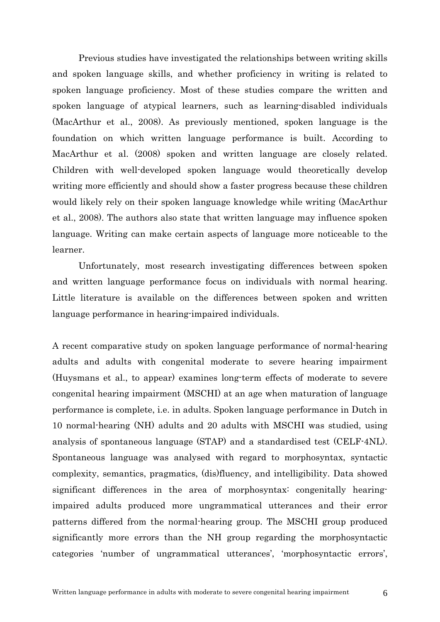Previous studies have investigated the relationships between writing skills and spoken language skills, and whether proficiency in writing is related to spoken language proficiency. Most of these studies compare the written and spoken language of atypical learners, such as learning-disabled individuals (MacArthur et al., 2008). As previously mentioned, spoken language is the foundation on which written language performance is built. According to MacArthur et al. (2008) spoken and written language are closely related. Children with well-developed spoken language would theoretically develop writing more efficiently and should show a faster progress because these children would likely rely on their spoken language knowledge while writing (MacArthur et al., 2008). The authors also state that written language may influence spoken language. Writing can make certain aspects of language more noticeable to the learner.

Unfortunately, most research investigating differences between spoken and written language performance focus on individuals with normal hearing. Little literature is available on the differences between spoken and written language performance in hearing-impaired individuals.

A recent comparative study on spoken language performance of normal-hearing adults and adults with congenital moderate to severe hearing impairment (Huysmans et al., to appear) examines long-term effects of moderate to severe congenital hearing impairment (MSCHI) at an age when maturation of language performance is complete, i.e. in adults. Spoken language performance in Dutch in 10 normal-hearing (NH) adults and 20 adults with MSCHI was studied, using analysis of spontaneous language (STAP) and a standardised test (CELF-4NL). Spontaneous language was analysed with regard to morphosyntax, syntactic complexity, semantics, pragmatics, (dis)fluency, and intelligibility. Data showed significant differences in the area of morphosyntax: congenitally hearingimpaired adults produced more ungrammatical utterances and their error patterns differed from the normal-hearing group. The MSCHI group produced significantly more errors than the NH group regarding the morphosyntactic categories 'number of ungrammatical utterances', 'morphosyntactic errors',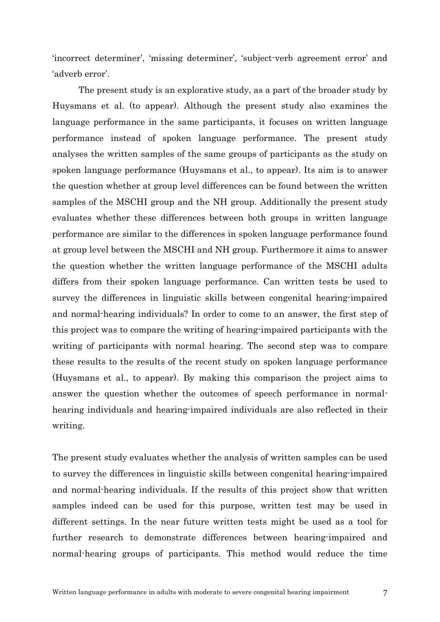'incorrect determiner', 'missing determiner', 'subject-verb agreement error' and 'adverb error'.

The present study is an explorative study, as a part of the broader study by Huysmans et al. (to appear). Although the present study also examines the language performance in the same participants, it focuses on written language performance instead of spoken language performance. The present study analyses the written samples of the same groups of participants as the study on spoken language performance (Huysmans et al., to appear). Its aim is to answer the question whether at group level differences can be found between the written samples of the MSCHI group and the NH group. Additionally the present study evaluates whether these differences between both groups in written language performance are similar to the differences in spoken language performance found at group level between the MSCHI and NH group. Furthermore it aims to answer the question whether the written language performance of the MSCHI adults differs from their spoken language performance. Can written tests be used to survey the differences in linguistic skills between congenital hearing-impaired and normal-hearing individuals? In order to come to an answer, the first step of this project was to compare the writing of hearing-impaired participants with the writing of participants with normal hearing. The second step was to compare these results to the results of the recent study on spoken language performance (Huysmans et al., to appear). By making this comparison the project aims to answer the question whether the outcomes of speech performance in normalhearing individuals and hearing-impaired individuals are also reflected in their writing.

The present study evaluates whether the analysis of written samples can be used to survey the differences in linguistic skills between congenital hearing-impaired and normal-hearing individuals. If the results of this project show that written samples indeed can be used for this purpose, written test may be used in different settings. In the near future written tests might be used as a tool for further research to demonstrate differences between hearing-impaired and normal-hearing groups of participants. This method would reduce the time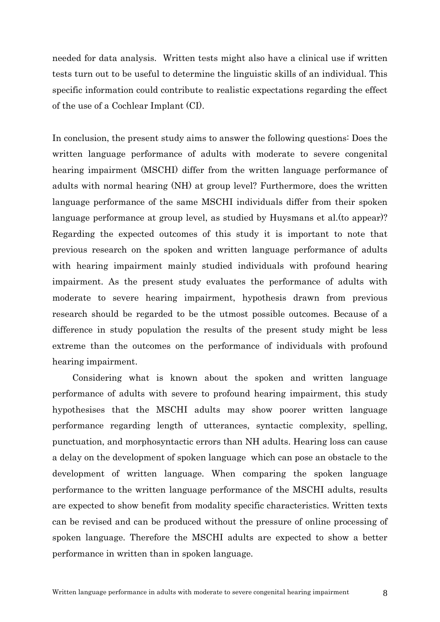needed for data analysis. Written tests might also have a clinical use if written tests turn out to be useful to determine the linguistic skills of an individual. This specific information could contribute to realistic expectations regarding the effect of the use of a Cochlear Implant (CI).

In conclusion, the present study aims to answer the following questions: Does the written language performance of adults with moderate to severe congenital hearing impairment (MSCHI) differ from the written language performance of adults with normal hearing (NH) at group level? Furthermore, does the written language performance of the same MSCHI individuals differ from their spoken language performance at group level, as studied by Huysmans et al.(to appear)? Regarding the expected outcomes of this study it is important to note that previous research on the spoken and written language performance of adults with hearing impairment mainly studied individuals with profound hearing impairment. As the present study evaluates the performance of adults with moderate to severe hearing impairment, hypothesis drawn from previous research should be regarded to be the utmost possible outcomes. Because of a difference in study population the results of the present study might be less extreme than the outcomes on the performance of individuals with profound hearing impairment.

Considering what is known about the spoken and written language performance of adults with severe to profound hearing impairment, this study hypothesises that the MSCHI adults may show poorer written language performance regarding length of utterances, syntactic complexity, spelling, punctuation, and morphosyntactic errors than NH adults. Hearing loss can cause a delay on the development of spoken language which can pose an obstacle to the development of written language. When comparing the spoken language performance to the written language performance of the MSCHI adults, results are expected to show benefit from modality specific characteristics. Written texts can be revised and can be produced without the pressure of online processing of spoken language. Therefore the MSCHI adults are expected to show a better performance in written than in spoken language.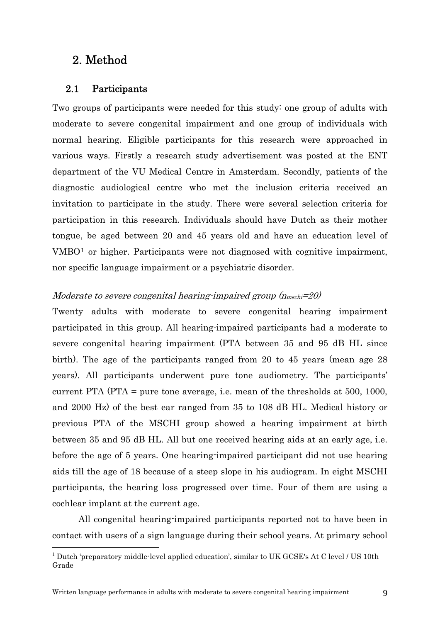# <span id="page-9-0"></span>2. Method

1

#### 2.1 Participants

<span id="page-9-1"></span>Two groups of participants were needed for this study: one group of adults with moderate to severe congenital impairment and one group of individuals with normal hearing. Eligible participants for this research were approached in various ways. Firstly a research study advertisement was posted at the ENT department of the VU Medical Centre in Amsterdam. Secondly, patients of the diagnostic audiological centre who met the inclusion criteria received an invitation to participate in the study. There were several selection criteria for participation in this research. Individuals should have Dutch as their mother tongue, be aged between 20 and 45 years old and have an education level of VMBO[1](#page-9-2) or higher. Participants were not diagnosed with cognitive impairment, nor specific language impairment or a psychiatric disorder.

#### Moderate to severe congenital hearing-impaired group  $(n_{\text{msch}}=20)$

Twenty adults with moderate to severe congenital hearing impairment participated in this group. All hearing-impaired participants had a moderate to severe congenital hearing impairment (PTA between 35 and 95 dB HL since birth). The age of the participants ranged from 20 to 45 years (mean age 28 years). All participants underwent pure tone audiometry. The participants' current PTA (PTA = pure tone average, i.e. mean of the thresholds at 500, 1000, and 2000 Hz) of the best ear ranged from 35 to 108 dB HL. Medical history or previous PTA of the MSCHI group showed a hearing impairment at birth between 35 and 95 dB HL. All but one received hearing aids at an early age, i.e. before the age of 5 years. One hearing-impaired participant did not use hearing aids till the age of 18 because of a steep slope in his audiogram. In eight MSCHI participants, the hearing loss progressed over time. Four of them are using a cochlear implant at the current age.

All congenital hearing-impaired participants reported not to have been in contact with users of a sign language during their school years. At primary school

<span id="page-9-2"></span><sup>&</sup>lt;sup>1</sup> Dutch 'preparatory middle-level applied education', similar to UK GCSE's At C level / US 10th Grade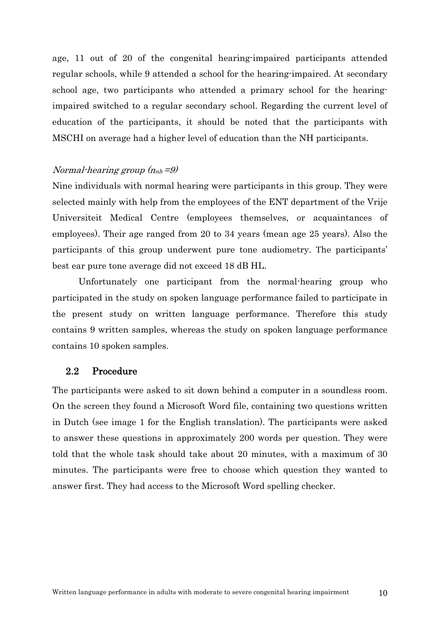age, 11 out of 20 of the congenital hearing-impaired participants attended regular schools, while 9 attended a school for the hearing-impaired. At secondary school age, two participants who attended a primary school for the hearingimpaired switched to a regular secondary school. Regarding the current level of education of the participants, it should be noted that the participants with MSCHI on average had a higher level of education than the NH participants.

#### Normal-hearing group  $(n_{nh} = 9)$

Nine individuals with normal hearing were participants in this group. They were selected mainly with help from the employees of the ENT department of the Vrije Universiteit Medical Centre (employees themselves, or acquaintances of employees). Their age ranged from 20 to 34 years (mean age 25 years). Also the participants of this group underwent pure tone audiometry. The participants' best ear pure tone average did not exceed 18 dB HL.

Unfortunately one participant from the normal-hearing group who participated in the study on spoken language performance failed to participate in the present study on written language performance. Therefore this study contains 9 written samples, whereas the study on spoken language performance contains 10 spoken samples.

#### 2.2 Procedure

<span id="page-10-0"></span>The participants were asked to sit down behind a computer in a soundless room. On the screen they found a Microsoft Word file, containing two questions written in Dutch (see image 1 for the English translation). The participants were asked to answer these questions in approximately 200 words per question. They were told that the whole task should take about 20 minutes, with a maximum of 30 minutes. The participants were free to choose which question they wanted to answer first. They had access to the Microsoft Word spelling checker.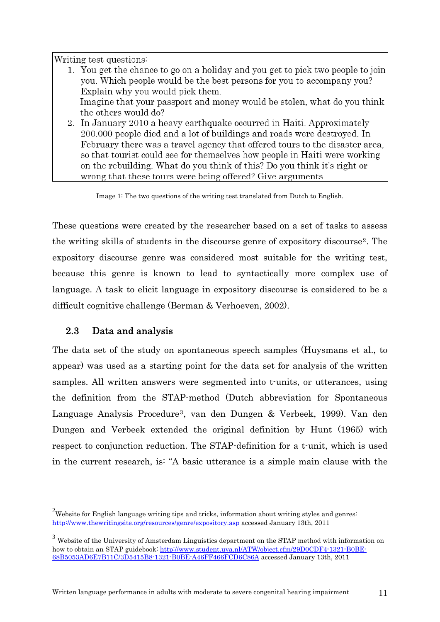Writing test questions:

|  | 1. You get the chance to go on a holiday and you get to pick two people to join |  |  |
|--|---------------------------------------------------------------------------------|--|--|
|  | you. Which people would be the best persons for you to accompany you?           |  |  |
|  | Explain why you would pick them.                                                |  |  |
|  | Imagine that your passport and money would be stolen, what do you think         |  |  |
|  | the others would do?                                                            |  |  |
|  | 2. In January 2010 a heavy earthquake occurred in Haiti. Approximately          |  |  |
|  | 200.000 people died and a lot of buildings and roads were destroyed. In         |  |  |
|  | February there was a travel agency that offered tours to the disaster area,     |  |  |
|  | so that tourist could see for themselves how people in Haiti were working       |  |  |
|  | on the rebuilding. What do you think of this? Do you think it's right or        |  |  |

wrong that these tours were being offered? Give arguments.

Image 1: The two questions of the writing test translated from Dutch to English.

These questions were created by the researcher based on a set of tasks to assess the writing skills of students in the discourse genre of expository discourse[2](#page-11-1). The expository discourse genre was considered most suitable for the writing test, because this genre is known to lead to syntactically more complex use of language. A task to elicit language in expository discourse is considered to be a difficult cognitive challenge (Berman & Verhoeven, 2002).

# 2.3 Data and analysis

<u>.</u>

<span id="page-11-0"></span>The data set of the study on spontaneous speech samples (Huysmans et al., to appear) was used as a starting point for the data set for analysis of the written samples. All written answers were segmented into t-units, or utterances, using the definition from the STAP-method (Dutch abbreviation for Spontaneous Language Analysis Procedure[3](#page-11-2), van den Dungen & Verbeek, 1999). Van den Dungen and Verbeek extended the original definition by Hunt (1965) with respect to conjunction reduction. The STAP-definition for a t-unit, which is used in the current research, is: "A basic utterance is a simple main clause with the

<span id="page-11-1"></span><sup>&</sup>lt;sup>2</sup>Website for English language writing tips and tricks, information about writing styles and genres: <http://www.thewritingsite.org/resources/genre/expository.asp> accessed January 13th, 2011

<span id="page-11-2"></span> $3$  Website of the University of Amsterdam Linguistics department on the STAP method with information on how to obtain an STAP guidebook: [http://www.student.uva.nl/ATW/object.cfm/29D0CDF4-1321-B0BE-](http://www.student.uva.nl/ATW/object.cfm/29D0CDF4-1321-B0BE-68B5053AD6E7B11C/3D5415B8-1321-B0BE-A46FF466FCD6C86A)[68B5053AD6E7B11C/3D5415B8-1321-B0BE-A46FF466FCD6C86A](http://www.student.uva.nl/ATW/object.cfm/29D0CDF4-1321-B0BE-68B5053AD6E7B11C/3D5415B8-1321-B0BE-A46FF466FCD6C86A) accessed January 13th, 2011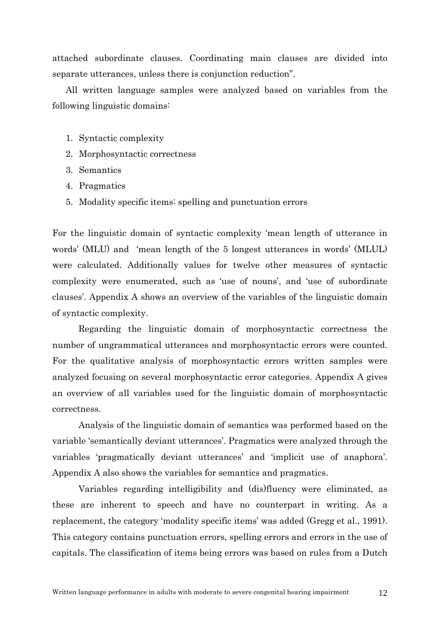attached subordinate clauses. Coordinating main clauses are divided into separate utterances, unless there is conjunction reduction".

All written language samples were analyzed based on variables from the following linguistic domains:

- 1. Syntactic complexity
- 2. Morphosyntactic correctness
- 3. Semantics
- 4. Pragmatics
- 5. Modality specific items: spelling and punctuation errors

For the linguistic domain of syntactic complexity 'mean length of utterance in words' (MLU) and 'mean length of the 5 longest utterances in words' (MLUL) were calculated. Additionally values for twelve other measures of syntactic complexity were enumerated, such as 'use of nouns', and 'use of subordinate clauses'. Appendix A shows an overview of the variables of the linguistic domain of syntactic complexity.

Regarding the linguistic domain of morphosyntactic correctness the number of ungrammatical utterances and morphosyntactic errors were counted. For the qualitative analysis of morphosyntactic errors written samples were analyzed focusing on several morphosyntactic error categories. Appendix A gives an overview of all variables used for the linguistic domain of morphosyntactic correctness.

Analysis of the linguistic domain of semantics was performed based on the variable 'semantically deviant utterances'. Pragmatics were analyzed through the variables 'pragmatically deviant utterances' and 'implicit use of anaphora'. Appendix A also shows the variables for semantics and pragmatics.

Variables regarding intelligibility and (dis)fluency were eliminated, as these are inherent to speech and have no counterpart in writing. As a replacement, the category 'modality specific items' was added (Gregg et al., 1991). This category contains punctuation errors, spelling errors and errors in the use of capitals. The classification of items being errors was based on rules from a Dutch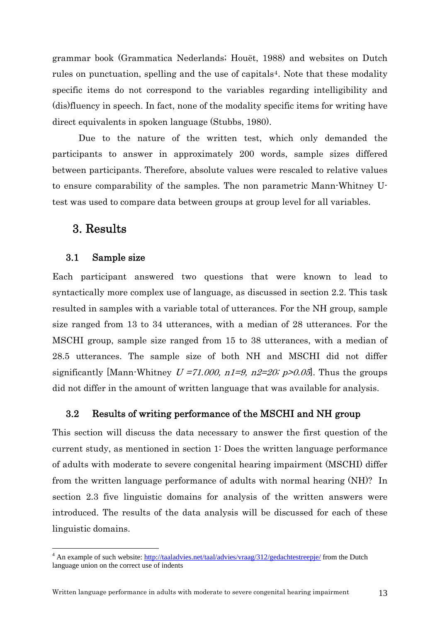grammar book (Grammatica Nederlands; Houët, 1988) and websites on Dutch rules on punctuation, spelling and the use of capitals<sup>[4](#page-13-3)</sup>. Note that these modality specific items do not correspond to the variables regarding intelligibility and (dis)fluency in speech. In fact, none of the modality specific items for writing have direct equivalents in spoken language (Stubbs, 1980).

Due to the nature of the written test, which only demanded the participants to answer in approximately 200 words, sample sizes differed between participants. Therefore, absolute values were rescaled to relative values to ensure comparability of the samples. The non parametric Mann-Whitney Utest was used to compare data between groups at group level for all variables.

# <span id="page-13-0"></span>3. Results

1

#### 3.1 Sample size

<span id="page-13-1"></span>Each participant answered two questions that were known to lead to syntactically more complex use of language, as discussed in section 2.2. This task resulted in samples with a variable total of utterances. For the NH group, sample size ranged from 13 to 34 utterances, with a median of 28 utterances. For the MSCHI group, sample size ranged from 15 to 38 utterances, with a median of 28.5 utterances. The sample size of both NH and MSCHI did not differ significantly [Mann-Whitney  $U = 71.000$ ,  $n1=9$ ,  $n2=20$ ;  $p>0.05$ ]. Thus the groups did not differ in the amount of written language that was available for analysis.

#### 3.2 Results of writing performance of the MSCHI and NH group

<span id="page-13-2"></span>This section will discuss the data necessary to answer the first question of the current study, as mentioned in section 1: Does the written language performance of adults with moderate to severe congenital hearing impairment (MSCHI) differ from the written language performance of adults with normal hearing (NH)? In section 2.3 five linguistic domains for analysis of the written answers were introduced. The results of the data analysis will be discussed for each of these linguistic domains.

<span id="page-13-3"></span><sup>&</sup>lt;sup>4</sup> An example of such website:<http://taaladvies.net/taal/advies/vraag/312/gedachtestreepje/> from the Dutch language union on the correct use of indents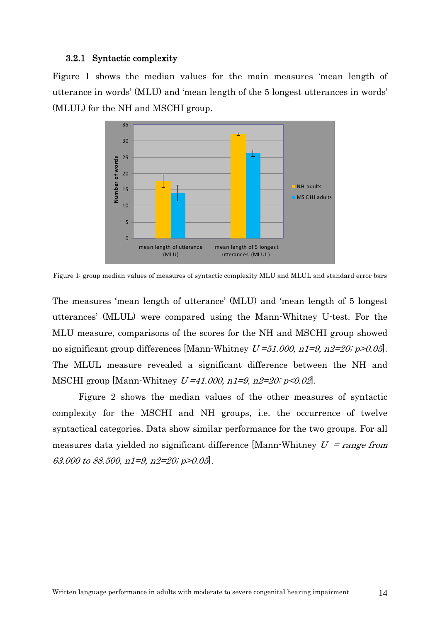#### 3.2.1 Syntactic complexity

<span id="page-14-0"></span>Figure 1 shows the median values for the main measures 'mean length of utterance in words' (MLU) and 'mean length of the 5 longest utterances in words' (MLUL) for the NH and MSCHI group.



Figure 1: group median values of measures of syntactic complexity MLU and MLUL and standard error bars

The measures 'mean length of utterance' (MLU) and 'mean length of 5 longest utterances' (MLUL) were compared using the Mann-Whitney U-test. For the MLU measure, comparisons of the scores for the NH and MSCHI group showed no significant group differences [Mann-Whitney  $U=51.000$ ,  $n1=9$ ,  $n2=20$ ;  $p>0.05$ ]. The MLUL measure revealed a significant difference between the NH and MSCHI group [Mann-Whitney  $U = 41.000$ ,  $n1 = 9$ ,  $n2 = 20$ ;  $p < 0.02$ ].

Figure 2 shows the median values of the other measures of syntactic complexity for the MSCHI and NH groups, i.e. the occurrence of twelve syntactical categories. Data show similar performance for the two groups. For all measures data yielded no significant difference [Mann-Whitney  $U = range from$ 63.000 to 88.500, n1=9, n2=20; p>0.05].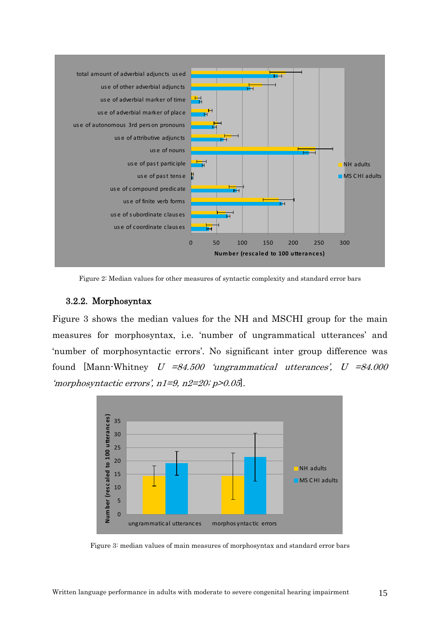

Figure 2: Median values for other measures of syntactic complexity and standard error bars

#### 3.2.2. Morphosyntax

<span id="page-15-0"></span>Figure 3 shows the median values for the NH and MSCHI group for the main measures for morphosyntax, i.e. 'number of ungrammatical utterances' and 'number of morphosyntactic errors'. No significant inter group difference was found [Mann-Whitney  $U = 84.500$  'ungrammatical utterances',  $U = 84.000$ 'morphosyntactic errors', n1=9, n2=20; p>0.05].



Figure 3: median values of main measures of morphosyntax and standard error bars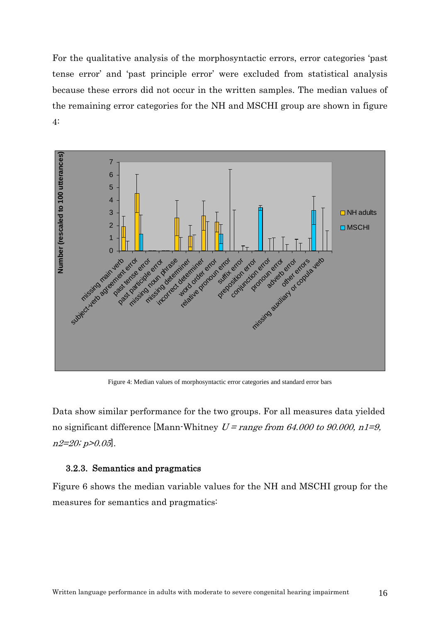For the qualitative analysis of the morphosyntactic errors, error categories 'past tense error' and 'past principle error' were excluded from statistical analysis because these errors did not occur in the written samples. The median values of the remaining error categories for the NH and MSCHI group are shown in figure 4:



Figure 4: Median values of morphosyntactic error categories and standard error bars

Data show similar performance for the two groups. For all measures data yielded no significant difference [Mann-Whitney  $U = range from 64.000 to 90.000, n1=9$ ,  $n2=20; p>0.05$ .

#### 3.2.3. Semantics and pragmatics

<span id="page-16-0"></span>Figure 6 shows the median variable values for the NH and MSCHI group for the measures for semantics and pragmatics: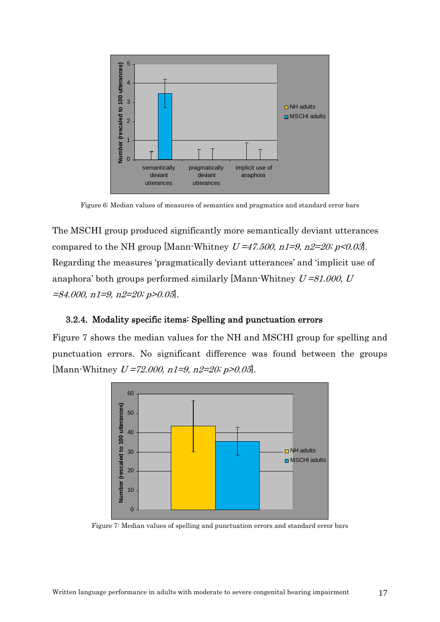

Figure 6: Median values of measures of semantics and pragmatics and standard error bars

The MSCHI group produced significantly more semantically deviant utterances compared to the NH group [Mann-Whitney  $U = 47.500$ ,  $n1=9$ ,  $n2=20$ ;  $p < 0.03$ ]. Regarding the measures 'pragmatically deviant utterances' and 'implicit use of anaphora' both groups performed similarly [Mann-Whitney  $U = 81,000$ , U  $=84.000$ ,  $n1=9$ ,  $n2=20$ ;  $p>0.05$ .

#### 3.2.4. Modality specific items: Spelling and punctuation errors

<span id="page-17-0"></span>Figure 7 shows the median values for the NH and MSCHI group for spelling and punctuation errors. No significant difference was found between the groups [Mann-Whitney  $U = 72.000$ ,  $n1 = 9$ ,  $n2 = 20$ ;  $p > 0.05$ ].



Figure 7: Median values of spelling and punctuation errors and standard error bars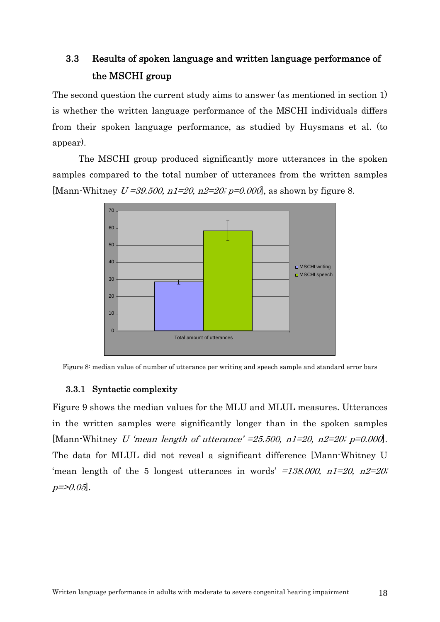# 3.3 Results of spoken language and written language performance of the MSCHI group

<span id="page-18-0"></span>The second question the current study aims to answer (as mentioned in section 1) is whether the written language performance of the MSCHI individuals differs from their spoken language performance, as studied by Huysmans et al. (to appear).

The MSCHI group produced significantly more utterances in the spoken samples compared to the total number of utterances from the written samples [Mann-Whitney  $U = 39.500$ ,  $n1 = 20$ ,  $n2 = 20$ ;  $p = 0.000$ ], as shown by figure 8.



Figure 8: median value of number of utterance per writing and speech sample and standard error bars

#### 3.3.1 Syntactic complexity

<span id="page-18-1"></span>Figure 9 shows the median values for the MLU and MLUL measures. Utterances in the written samples were significantly longer than in the spoken samples [Mann-Whitney U 'mean length of utterance'  $=25.500$ , n1=20, n2=20; p=0.000]. The data for MLUL did not reveal a significant difference [Mann-Whitney U 'mean length of the 5 longest utterances in words'  $=138,000$ ,  $n1=20$ ,  $n2=20$ ;  $p = > 0.05$ .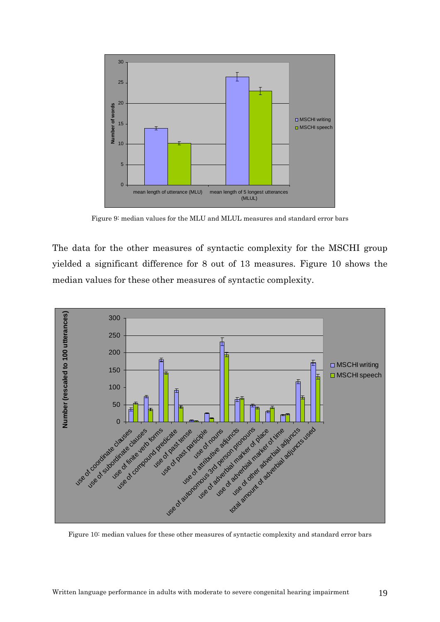

Figure 9: median values for the MLU and MLUL measures and standard error bars

The data for the other measures of syntactic complexity for the MSCHI group yielded a significant difference for 8 out of 13 measures. Figure 10 shows the median values for these other measures of syntactic complexity.



Figure 10: median values for these other measures of syntactic complexity and standard error bars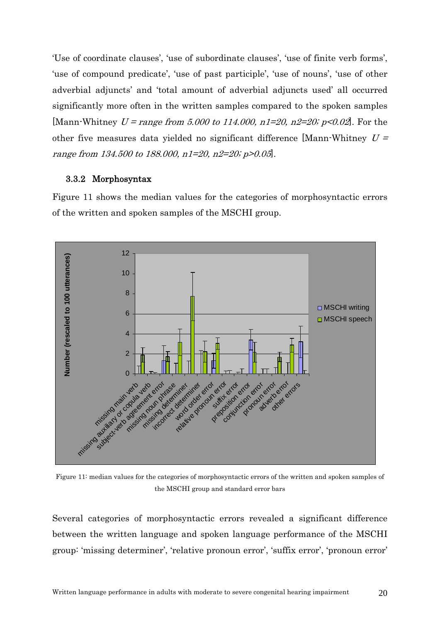'Use of coordinate clauses', 'use of subordinate clauses', 'use of finite verb forms', 'use of compound predicate', 'use of past participle', 'use of nouns', 'use of other adverbial adjuncts' and 'total amount of adverbial adjuncts used' all occurred significantly more often in the written samples compared to the spoken samples [Mann-Whitney  $U = range from 5.000 to 114.000, n1=20, n2=20; p<0.02$ ]. For the other five measures data yielded no significant difference [Mann-Whitney  $U =$ range from 134.500 to 188.000, n1=20, n2=20; p>0.05].

#### 3.3.2 Morphosyntax

<span id="page-20-0"></span>Figure 11 shows the median values for the categories of morphosyntactic errors of the written and spoken samples of the MSCHI group.



Figure 11: median values for the categories of morphosyntactic errors of the written and spoken samples of the MSCHI group and standard error bars

Several categories of morphosyntactic errors revealed a significant difference between the written language and spoken language performance of the MSCHI group: 'missing determiner', 'relative pronoun error', 'suffix error', 'pronoun error'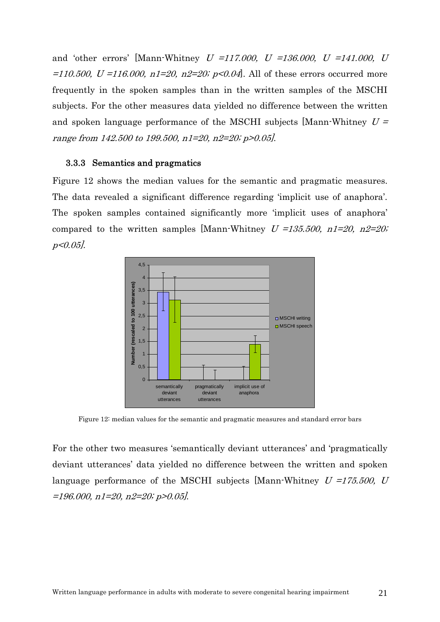and 'other errors' [Mann-Whitney  $U = 117,000$ ,  $U = 136,000$ ,  $U = 141,000$ ,  $U$ =110.500, U =116.000,  $n1=20$ ,  $n2=20$ ;  $p<0.04$ . All of these errors occurred more frequently in the spoken samples than in the written samples of the MSCHI subjects. For the other measures data yielded no difference between the written and spoken language performance of the MSCHI subjects [Mann-Whitney  $U =$ range from 142.500 to 199.500, n1=20, n2=20; p>0.05].

#### 3.3.3 Semantics and pragmatics

<span id="page-21-0"></span>Figure 12 shows the median values for the semantic and pragmatic measures. The data revealed a significant difference regarding 'implicit use of anaphora'. The spoken samples contained significantly more 'implicit uses of anaphora' compared to the written samples [Mann-Whitney  $U = 135.500$ ,  $n1=20$ ,  $n2=20$ ; p<0.05].



Figure 12: median values for the semantic and pragmatic measures and standard error bars

For the other two measures 'semantically deviant utterances' and 'pragmatically deviant utterances' data yielded no difference between the written and spoken language performance of the MSCHI subjects [Mann-Whitney  $U = 175.500$ , U =196.000, n1=20, n2=20; p>0.05].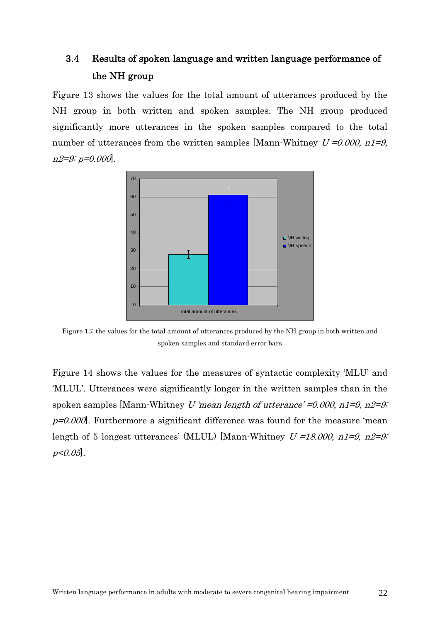# 3.4 Results of spoken language and written language performance of the NH group

<span id="page-22-0"></span>Figure 13 shows the values for the total amount of utterances produced by the NH group in both written and spoken samples. The NH group produced significantly more utterances in the spoken samples compared to the total number of utterances from the written samples [Mann-Whitney  $U = 0.000$ ,  $n1=9$ ,  $n2=9; p=0.000$ .



Figure 13: the values for the total amount of utterances produced by the NH group in both written and spoken samples and standard error bars

Figure 14 shows the values for the measures of syntactic complexity 'MLU' and 'MLUL'. Utterances were significantly longer in the written samples than in the spoken samples [Mann-Whitney U 'mean length of utterance' =  $0.000$ , n1= $9$ , n2= $9$ ;  $p=0.000$ . Furthermore a significant difference was found for the measure 'mean length of 5 longest utterances' (MLUL) [Mann-Whitney  $U = 18.000$ ,  $n1=9$ ,  $n2=9$ ;  $p < 0.05$ .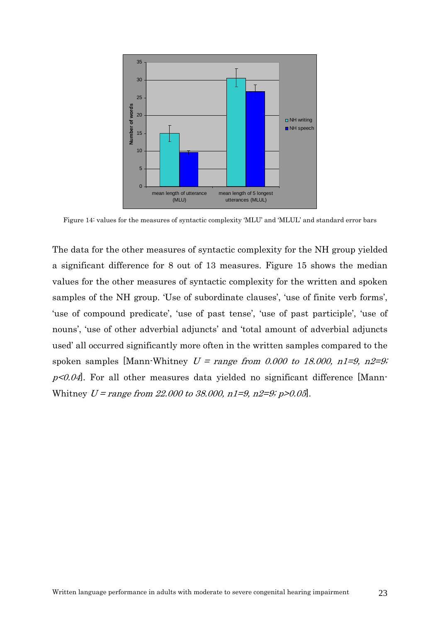

Figure 14: values for the measures of syntactic complexity 'MLU' and 'MLUL' and standard error bars

The data for the other measures of syntactic complexity for the NH group yielded a significant difference for 8 out of 13 measures. Figure 15 shows the median values for the other measures of syntactic complexity for the written and spoken samples of the NH group. 'Use of subordinate clauses', 'use of finite verb forms', 'use of compound predicate', 'use of past tense', 'use of past participle', 'use of nouns', 'use of other adverbial adjuncts' and 'total amount of adverbial adjuncts used' all occurred significantly more often in the written samples compared to the spoken samples [Mann-Whitney  $U = range from 0.000 to 18.000, n1=9, n2=9;$  $p<0.04$ . For all other measures data yielded no significant difference [Mann-Whitney  $U = range from 22,000 to 38,000, n1=9, n2=9; p>0.05$ .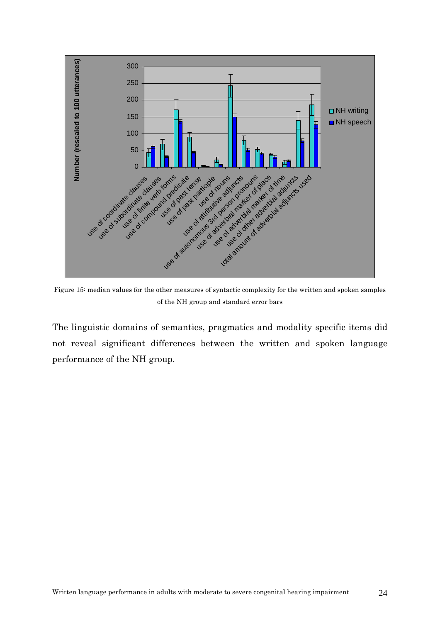

Figure 15: median values for the other measures of syntactic complexity for the written and spoken samples of the NH group and standard error bars

The linguistic domains of semantics, pragmatics and modality specific items did not reveal significant differences between the written and spoken language performance of the NH group.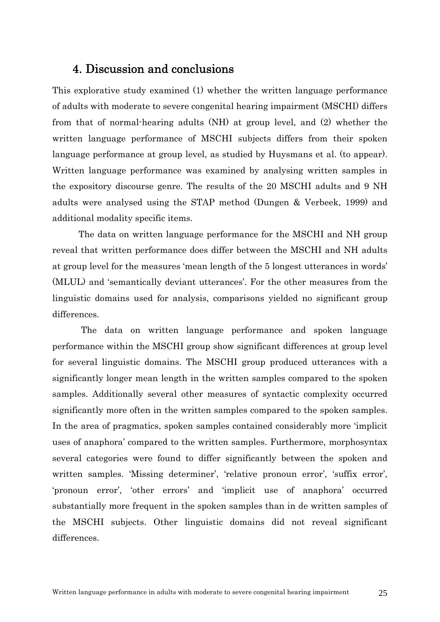# 4. Discussion and conclusions

<span id="page-25-0"></span>This explorative study examined (1) whether the written language performance of adults with moderate to severe congenital hearing impairment (MSCHI) differs from that of normal-hearing adults (NH) at group level, and (2) whether the written language performance of MSCHI subjects differs from their spoken language performance at group level, as studied by Huysmans et al. (to appear). Written language performance was examined by analysing written samples in the expository discourse genre. The results of the 20 MSCHI adults and 9 NH adults were analysed using the STAP method (Dungen & Verbeek, 1999) and additional modality specific items.

The data on written language performance for the MSCHI and NH group reveal that written performance does differ between the MSCHI and NH adults at group level for the measures 'mean length of the 5 longest utterances in words' (MLUL) and 'semantically deviant utterances'. For the other measures from the linguistic domains used for analysis, comparisons yielded no significant group differences.

 The data on written language performance and spoken language performance within the MSCHI group show significant differences at group level for several linguistic domains. The MSCHI group produced utterances with a significantly longer mean length in the written samples compared to the spoken samples. Additionally several other measures of syntactic complexity occurred significantly more often in the written samples compared to the spoken samples. In the area of pragmatics, spoken samples contained considerably more 'implicit uses of anaphora' compared to the written samples. Furthermore, morphosyntax several categories were found to differ significantly between the spoken and written samples. 'Missing determiner', 'relative pronoun error', 'suffix error', 'pronoun error', 'other errors' and 'implicit use of anaphora' occurred substantially more frequent in the spoken samples than in de written samples of the MSCHI subjects. Other linguistic domains did not reveal significant differences.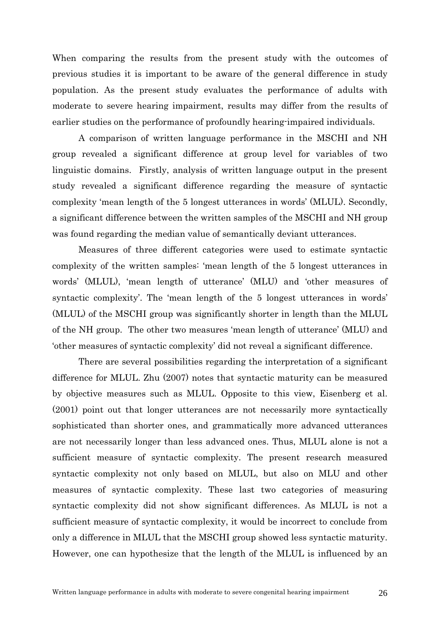When comparing the results from the present study with the outcomes of previous studies it is important to be aware of the general difference in study population. As the present study evaluates the performance of adults with moderate to severe hearing impairment, results may differ from the results of earlier studies on the performance of profoundly hearing-impaired individuals.

A comparison of written language performance in the MSCHI and NH group revealed a significant difference at group level for variables of two linguistic domains. Firstly, analysis of written language output in the present study revealed a significant difference regarding the measure of syntactic complexity 'mean length of the 5 longest utterances in words' (MLUL). Secondly, a significant difference between the written samples of the MSCHI and NH group was found regarding the median value of semantically deviant utterances.

Measures of three different categories were used to estimate syntactic complexity of the written samples: 'mean length of the 5 longest utterances in words' (MLUL), 'mean length of utterance' (MLU) and 'other measures of syntactic complexity'. The 'mean length of the 5 longest utterances in words' (MLUL) of the MSCHI group was significantly shorter in length than the MLUL of the NH group. The other two measures 'mean length of utterance' (MLU) and 'other measures of syntactic complexity' did not reveal a significant difference.

There are several possibilities regarding the interpretation of a significant difference for MLUL. Zhu (2007) notes that syntactic maturity can be measured by objective measures such as MLUL. Opposite to this view, Eisenberg et al. (2001) point out that longer utterances are not necessarily more syntactically sophisticated than shorter ones, and grammatically more advanced utterances are not necessarily longer than less advanced ones. Thus, MLUL alone is not a sufficient measure of syntactic complexity. The present research measured syntactic complexity not only based on MLUL, but also on MLU and other measures of syntactic complexity. These last two categories of measuring syntactic complexity did not show significant differences. As MLUL is not a sufficient measure of syntactic complexity, it would be incorrect to conclude from only a difference in MLUL that the MSCHI group showed less syntactic maturity. However, one can hypothesize that the length of the MLUL is influenced by an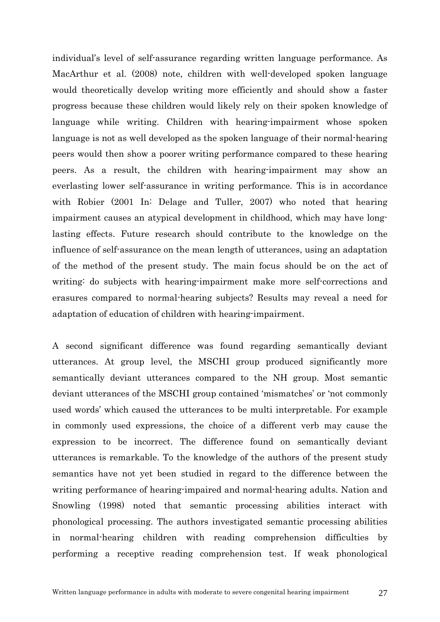individual's level of self-assurance regarding written language performance. As MacArthur et al. (2008) note, children with well-developed spoken language would theoretically develop writing more efficiently and should show a faster progress because these children would likely rely on their spoken knowledge of language while writing. Children with hearing-impairment whose spoken language is not as well developed as the spoken language of their normal-hearing peers would then show a poorer writing performance compared to these hearing peers. As a result, the children with hearing-impairment may show an everlasting lower self-assurance in writing performance. This is in accordance with Robier (2001 In: Delage and Tuller, 2007) who noted that hearing impairment causes an atypical development in childhood, which may have longlasting effects. Future research should contribute to the knowledge on the influence of self-assurance on the mean length of utterances, using an adaptation of the method of the present study. The main focus should be on the act of writing: do subjects with hearing-impairment make more self-corrections and erasures compared to normal-hearing subjects? Results may reveal a need for adaptation of education of children with hearing-impairment.

A second significant difference was found regarding semantically deviant utterances. At group level, the MSCHI group produced significantly more semantically deviant utterances compared to the NH group. Most semantic deviant utterances of the MSCHI group contained 'mismatches' or 'not commonly used words' which caused the utterances to be multi interpretable. For example in commonly used expressions, the choice of a different verb may cause the expression to be incorrect. The difference found on semantically deviant utterances is remarkable. To the knowledge of the authors of the present study semantics have not yet been studied in regard to the difference between the writing performance of hearing-impaired and normal-hearing adults. Nation and Snowling (1998) noted that semantic processing abilities interact with phonological processing. The authors investigated semantic processing abilities in normal-hearing children with reading comprehension difficulties by performing a receptive reading comprehension test. If weak phonological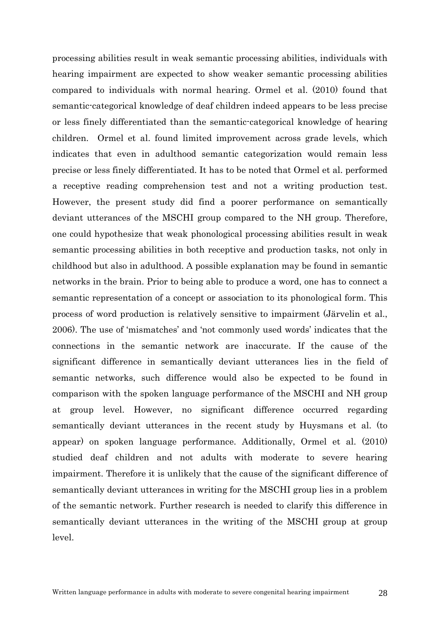processing abilities result in weak semantic processing abilities, individuals with hearing impairment are expected to show weaker semantic processing abilities compared to individuals with normal hearing. Ormel et al. (2010) found that semantic-categorical knowledge of deaf children indeed appears to be less precise or less finely differentiated than the semantic-categorical knowledge of hearing children. Ormel et al. found limited improvement across grade levels, which indicates that even in adulthood semantic categorization would remain less precise or less finely differentiated. It has to be noted that Ormel et al. performed a receptive reading comprehension test and not a writing production test. However, the present study did find a poorer performance on semantically deviant utterances of the MSCHI group compared to the NH group. Therefore, one could hypothesize that weak phonological processing abilities result in weak semantic processing abilities in both receptive and production tasks, not only in childhood but also in adulthood. A possible explanation may be found in semantic networks in the brain. Prior to being able to produce a word, one has to connect a semantic representation of a concept or association to its phonological form. This process of word production is relatively sensitive to impairment (Järvelin et al., 2006). The use of 'mismatches' and 'not commonly used words' indicates that the connections in the semantic network are inaccurate. If the cause of the significant difference in semantically deviant utterances lies in the field of semantic networks, such difference would also be expected to be found in comparison with the spoken language performance of the MSCHI and NH group at group level. However, no significant difference occurred regarding semantically deviant utterances in the recent study by Huysmans et al. (to appear) on spoken language performance. Additionally, Ormel et al. (2010) studied deaf children and not adults with moderate to severe hearing impairment. Therefore it is unlikely that the cause of the significant difference of semantically deviant utterances in writing for the MSCHI group lies in a problem of the semantic network. Further research is needed to clarify this difference in semantically deviant utterances in the writing of the MSCHI group at group level.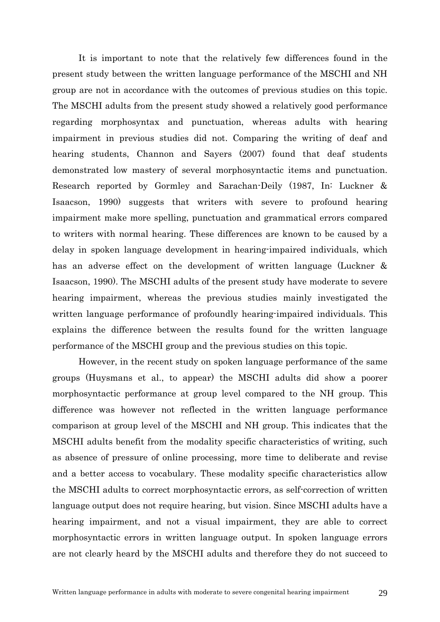It is important to note that the relatively few differences found in the present study between the written language performance of the MSCHI and NH group are not in accordance with the outcomes of previous studies on this topic. The MSCHI adults from the present study showed a relatively good performance regarding morphosyntax and punctuation, whereas adults with hearing impairment in previous studies did not. Comparing the writing of deaf and hearing students, Channon and Sayers (2007) found that deaf students demonstrated low mastery of several morphosyntactic items and punctuation. Research reported by Gormley and Sarachan-Deily (1987, In: Luckner & Isaacson, 1990) suggests that writers with severe to profound hearing impairment make more spelling, punctuation and grammatical errors compared to writers with normal hearing. These differences are known to be caused by a delay in spoken language development in hearing-impaired individuals, which has an adverse effect on the development of written language (Luckner & Isaacson, 1990). The MSCHI adults of the present study have moderate to severe hearing impairment, whereas the previous studies mainly investigated the written language performance of profoundly hearing-impaired individuals. This explains the difference between the results found for the written language performance of the MSCHI group and the previous studies on this topic.

However, in the recent study on spoken language performance of the same groups (Huysmans et al., to appear) the MSCHI adults did show a poorer morphosyntactic performance at group level compared to the NH group. This difference was however not reflected in the written language performance comparison at group level of the MSCHI and NH group. This indicates that the MSCHI adults benefit from the modality specific characteristics of writing, such as absence of pressure of online processing, more time to deliberate and revise and a better access to vocabulary. These modality specific characteristics allow the MSCHI adults to correct morphosyntactic errors, as self-correction of written language output does not require hearing, but vision. Since MSCHI adults have a hearing impairment, and not a visual impairment, they are able to correct morphosyntactic errors in written language output. In spoken language errors are not clearly heard by the MSCHI adults and therefore they do not succeed to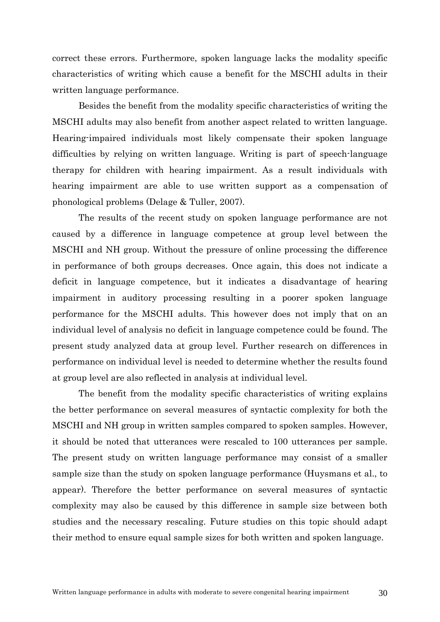correct these errors. Furthermore, spoken language lacks the modality specific characteristics of writing which cause a benefit for the MSCHI adults in their written language performance.

Besides the benefit from the modality specific characteristics of writing the MSCHI adults may also benefit from another aspect related to written language. Hearing-impaired individuals most likely compensate their spoken language difficulties by relying on written language. Writing is part of speech-language therapy for children with hearing impairment. As a result individuals with hearing impairment are able to use written support as a compensation of phonological problems (Delage & Tuller, 2007).

The results of the recent study on spoken language performance are not caused by a difference in language competence at group level between the MSCHI and NH group. Without the pressure of online processing the difference in performance of both groups decreases. Once again, this does not indicate a deficit in language competence, but it indicates a disadvantage of hearing impairment in auditory processing resulting in a poorer spoken language performance for the MSCHI adults. This however does not imply that on an individual level of analysis no deficit in language competence could be found. The present study analyzed data at group level. Further research on differences in performance on individual level is needed to determine whether the results found at group level are also reflected in analysis at individual level.

 The benefit from the modality specific characteristics of writing explains the better performance on several measures of syntactic complexity for both the MSCHI and NH group in written samples compared to spoken samples. However, it should be noted that utterances were rescaled to 100 utterances per sample. The present study on written language performance may consist of a smaller sample size than the study on spoken language performance (Huysmans et al., to appear). Therefore the better performance on several measures of syntactic complexity may also be caused by this difference in sample size between both studies and the necessary rescaling. Future studies on this topic should adapt their method to ensure equal sample sizes for both written and spoken language.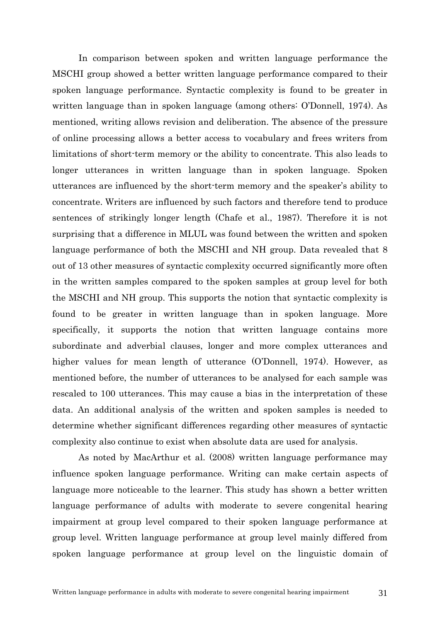In comparison between spoken and written language performance the MSCHI group showed a better written language performance compared to their spoken language performance. Syntactic complexity is found to be greater in written language than in spoken language (among others: O'Donnell, 1974). As mentioned, writing allows revision and deliberation. The absence of the pressure of online processing allows a better access to vocabulary and frees writers from limitations of short-term memory or the ability to concentrate. This also leads to longer utterances in written language than in spoken language. Spoken utterances are influenced by the short-term memory and the speaker's ability to concentrate. Writers are influenced by such factors and therefore tend to produce sentences of strikingly longer length (Chafe et al., 1987). Therefore it is not surprising that a difference in MLUL was found between the written and spoken language performance of both the MSCHI and NH group. Data revealed that 8 out of 13 other measures of syntactic complexity occurred significantly more often in the written samples compared to the spoken samples at group level for both the MSCHI and NH group. This supports the notion that syntactic complexity is found to be greater in written language than in spoken language. More specifically, it supports the notion that written language contains more subordinate and adverbial clauses, longer and more complex utterances and higher values for mean length of utterance (O'Donnell, 1974). However, as mentioned before, the number of utterances to be analysed for each sample was rescaled to 100 utterances. This may cause a bias in the interpretation of these data. An additional analysis of the written and spoken samples is needed to determine whether significant differences regarding other measures of syntactic complexity also continue to exist when absolute data are used for analysis.

 As noted by MacArthur et al. (2008) written language performance may influence spoken language performance. Writing can make certain aspects of language more noticeable to the learner. This study has shown a better written language performance of adults with moderate to severe congenital hearing impairment at group level compared to their spoken language performance at group level. Written language performance at group level mainly differed from spoken language performance at group level on the linguistic domain of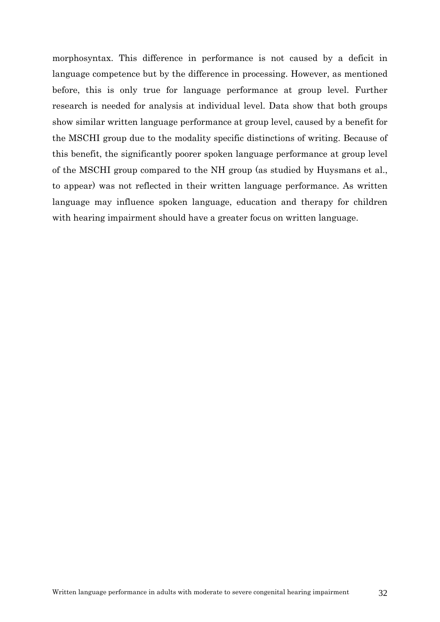morphosyntax. This difference in performance is not caused by a deficit in language competence but by the difference in processing. However, as mentioned before, this is only true for language performance at group level. Further research is needed for analysis at individual level. Data show that both groups show similar written language performance at group level, caused by a benefit for the MSCHI group due to the modality specific distinctions of writing. Because of this benefit, the significantly poorer spoken language performance at group level of the MSCHI group compared to the NH group (as studied by Huysmans et al., to appear) was not reflected in their written language performance. As written language may influence spoken language, education and therapy for children with hearing impairment should have a greater focus on written language.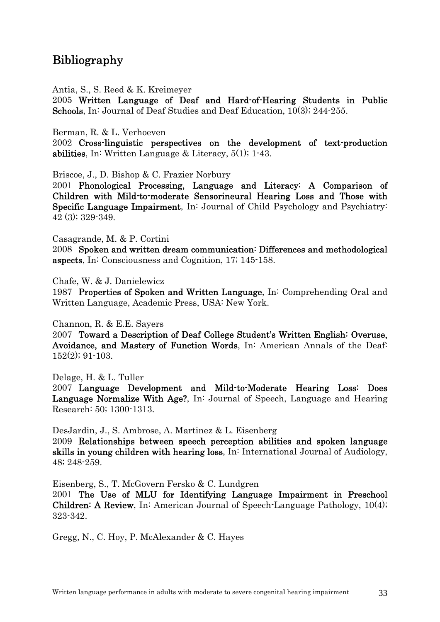# <span id="page-33-0"></span>Bibliography

Antia, S., S. Reed & K. Kreimeyer

2005 Written Language of Deaf and Hard-of-Hearing Students in Public Schools, In: Journal of Deaf Studies and Deaf Education, 10(3); 244-255.

Berman, R. & L. Verhoeven

2002 Cross-linguistic perspectives on the development of text-production abilities, In: Written Language & Literacy,  $5(1)$ ; 1-43.

Briscoe, J., D. Bishop & C. Frazier Norbury

2001 Phonological Processing, Language and Literacy: A Comparison of Children with Mild-to-moderate Sensorineural Hearing Loss and Those with Specific Language Impairment, In: Journal of Child Psychology and Psychiatry: 42 (3); 329-349.

Casagrande, M. & P. Cortini

2008 Spoken and written dream communication: Differences and methodological aspects, In: Consciousness and Cognition, 17; 145-158.

Chafe, W. & J. Danielewicz

1987 Properties of Spoken and Written Language, In: Comprehending Oral and Written Language, Academic Press, USA: New York.

Channon, R. & E.E. Sayers

2007 Toward a Description of Deaf College Student's Written English: Overuse, Avoidance, and Mastery of Function Words, In: American Annals of the Deaf: 152(2); 91-103.

Delage, H. & L. Tuller

2007 Language Development and Mild-to-Moderate Hearing Loss: Does Language Normalize With Age?, In: Journal of Speech, Language and Hearing Research: 50; 1300-1313.

DesJardin, J., S. Ambrose, A. Martinez & L. Eisenberg

2009 Relationships between speech perception abilities and spoken language skills in young children with hearing loss, In: International Journal of Audiology, 48; 248-259.

Eisenberg, S., T. McGovern Fersko & C. Lundgren

2001 The Use of MLU for Identifying Language Impairment in Preschool Children: A Review, In: American Journal of Speech-Language Pathology, 10(4); 323-342.

Gregg, N., C. Hoy, P. McAlexander & C. Hayes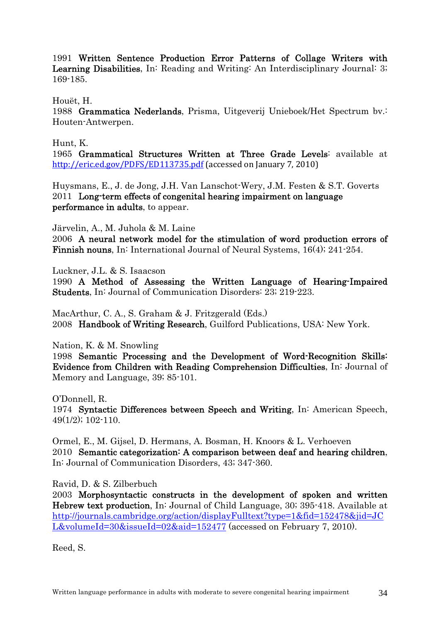1991 Written Sentence Production Error Patterns of Collage Writers with Learning Disabilities, In: Reading and Writing: An Interdisciplinary Journal: 3; 169-185.

Houët, H.

1988 Grammatica Nederlands, Prisma, Uitgeverij Unieboek/Het Spectrum bv.: Houten-Antwerpen.

Hunt, K.

1965 Grammatical Structures Written at Three Grade Levels: available at <http://eric.ed.gov/PDFS/ED113735.pdf>(accessed on January 7, 2010)

Huysmans, E., J. de Jong, J.H. Van Lanschot-Wery, J.M. Festen & S.T. Goverts 2011 Long-term effects of congenital hearing impairment on language performance in adults, to appear.

Järvelin, A., M. Juhola & M. Laine

2006 A neural network model for the stimulation of word production errors of Finnish nouns, In: International Journal of Neural Systems, 16(4); 241-254.

Luckner, J.L. & S. Isaacson

1990 A Method of Assessing the Written Language of Hearing-Impaired Students, In: Journal of Communication Disorders: 23; 219-223.

MacArthur, C. A., S. Graham & J. Fritzgerald (Eds.) 2008 Handbook of Writing Research, Guilford Publications, USA: New York.

Nation, K. & M. Snowling

1998 Semantic Processing and the Development of Word-Recognition Skills: Evidence from Children with Reading Comprehension Difficulties, In: Journal of Memory and Language, 39; 85-101.

O'Donnell, R.

1974 Syntactic Differences between Speech and Writing, In: American Speech, 49(1/2); 102-110.

Ormel, E., M. Gijsel, D. Hermans, A. Bosman, H. Knoors & L. Verhoeven 2010 Semantic categorization: A comparison between deaf and hearing children, In: Journal of Communication Disorders, 43; 347-360.

Ravid, D. & S. Zilberbuch

2003 Morphosyntactic constructs in the development of spoken and written Hebrew text production, In: Journal of Child Language, 30; 395-418. Available at [http://journals.cambridge.org/action/displayFulltext?type=1&fid=152478&jid=JC](http://journals.cambridge.org/action/displayFulltext?type=1&fid=152478&jid=JCL&volumeId=30&issueId=02&aid=152477) [L&volumeId=30&issueId=02&aid=152477](http://journals.cambridge.org/action/displayFulltext?type=1&fid=152478&jid=JCL&volumeId=30&issueId=02&aid=152477) (accessed on February 7, 2010).

Reed, S.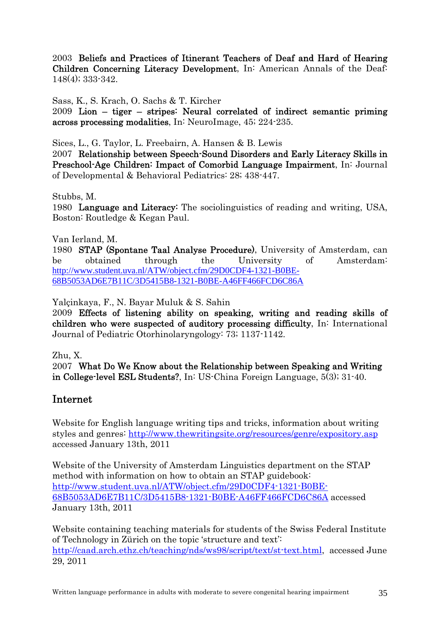2003 Beliefs and Practices of Itinerant Teachers of Deaf and Hard of Hearing Children Concerning Literacy Development, In: American Annals of the Deaf: 148(4); 333-342.

Sass, K., S. Krach, O. Sachs & T. Kircher

2009 Lion – tiger – stripes: Neural correlated of indirect semantic priming across processing modalities, In: NeuroImage, 45; 224-235.

Sices, L., G. Taylor, L. Freebairn, A. Hansen & B. Lewis

2007 Relationship between Speech-Sound Disorders and Early Literacy Skills in Preschool-Age Children: Impact of Comorbid Language Impairment, In: Journal of Developmental & Behavioral Pediatrics: 28; 438-447.

Stubbs, M.

1980 Language and Literacy: The sociolinguistics of reading and writing, USA, Boston: Routledge & Kegan Paul.

Van Ierland, M.

1980 STAP (Spontane Taal Analyse Procedure), University of Amsterdam, can be obtained through the University of Amsterdam: [http://www.student.uva.nl/ATW/object.cfm/29D0CDF4-1321-B0BE-](http://www.student.uva.nl/ATW/object.cfm/29D0CDF4-1321-B0BE-68B5053AD6E7B11C/3D5415B8-1321-B0BE-A46FF466FCD6C86A)[68B5053AD6E7B11C/3D5415B8-1321-B0BE-A46FF466FCD6C86A](http://www.student.uva.nl/ATW/object.cfm/29D0CDF4-1321-B0BE-68B5053AD6E7B11C/3D5415B8-1321-B0BE-A46FF466FCD6C86A)

Yalçinkaya, F., N. Bayar Muluk & S. Sahin

2009 Effects of listening ability on speaking, writing and reading skills of children who were suspected of auditory processing difficulty, In: International Journal of Pediatric Otorhinolaryngology: 73; 1137-1142.

Zhu, X.

2007 What Do We Know about the Relationship between Speaking and Writing in College-level ESL Students?, In: US-China Foreign Language, 5(3); 31-40.

### Internet

Website for English language writing tips and tricks, information about writing styles and genres: <http://www.thewritingsite.org/resources/genre/expository.asp> accessed January 13th, 2011

Website of the University of Amsterdam Linguistics department on the STAP method with information on how to obtain an STAP guidebook: [http://www.student.uva.nl/ATW/object.cfm/29D0CDF4-1321-B0BE-](http://www.student.uva.nl/ATW/object.cfm/29D0CDF4-1321-B0BE-68B5053AD6E7B11C/3D5415B8-1321-B0BE-A46FF466FCD6C86A)[68B5053AD6E7B11C/3D5415B8-1321-B0BE-A46FF466FCD6C86A](http://www.student.uva.nl/ATW/object.cfm/29D0CDF4-1321-B0BE-68B5053AD6E7B11C/3D5415B8-1321-B0BE-A46FF466FCD6C86A) accessed January 13th, 2011

Website containing teaching materials for students of the Swiss Federal Institute of Technology in Zürich on the topic 'structure and text': [http://caad.arch.ethz.ch/teaching/nds/ws98/script/text/st-text.html,](http://caad.arch.ethz.ch/teaching/nds/ws98/script/text/st-text.html) accessed June 29, 2011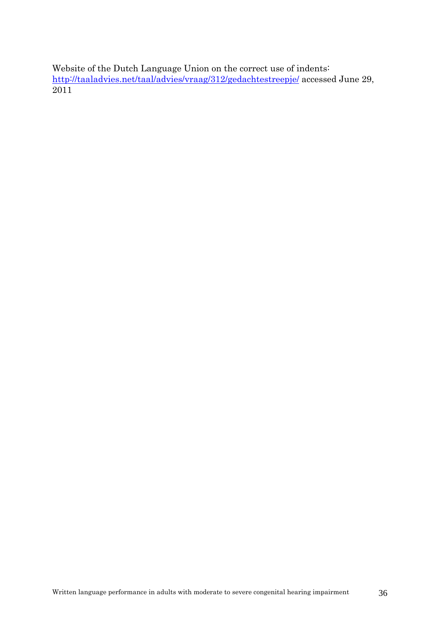Website of the Dutch Language Union on the correct use of indents: <http://taaladvies.net/taal/advies/vraag/312/gedachtestreepje/>accessed June 29, 2011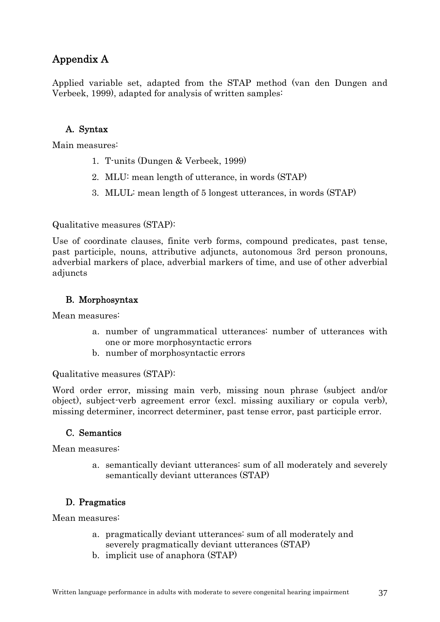# <span id="page-37-0"></span>Appendix A

Applied variable set, adapted from the STAP method (van den Dungen and Verbeek, 1999), adapted for analysis of written samples:

### A. Syntax

Main measures:

- 1. T-units (Dungen & Verbeek, 1999)
- 2. MLU: mean length of utterance, in words (STAP)
- 3. MLUL: mean length of 5 longest utterances, in words (STAP)

Qualitative measures (STAP):

Use of coordinate clauses, finite verb forms, compound predicates, past tense, past participle, nouns, attributive adjuncts, autonomous 3rd person pronouns, adverbial markers of place, adverbial markers of time, and use of other adverbial adjuncts

### B. Morphosyntax

Mean measures:

- a. number of ungrammatical utterances: number of utterances with one or more morphosyntactic errors
- b. number of morphosyntactic errors

Qualitative measures (STAP):

Word order error, missing main verb, missing noun phrase (subject and/or object), subject-verb agreement error (excl. missing auxiliary or copula verb), missing determiner, incorrect determiner, past tense error, past participle error.

### C. Semantics

Mean measures:

a. semantically deviant utterances: sum of all moderately and severely semantically deviant utterances (STAP)

### D. Pragmatics

Mean measures:

- a. pragmatically deviant utterances: sum of all moderately and severely pragmatically deviant utterances (STAP)
- b. implicit use of anaphora (STAP)